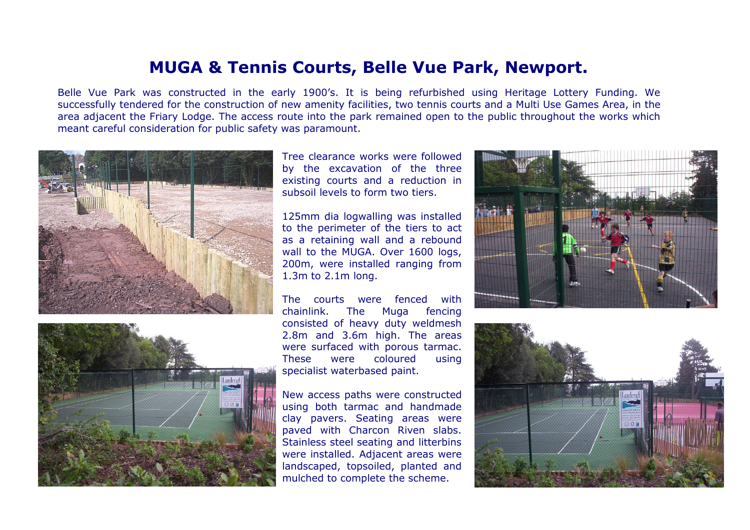## **MUGA & Tennis Courts, Belle Vue Park, Newport.**

Belle Vue Park was constructed in the early 1900's. It is being refurbished using Heritage Lottery Funding. We successfully tendered for the construction of new amenity facilities, two tennis courts and a Multi Use Games Area, in the area adjacent the Friary Lodge. The access route into the park remained open to the public throughout the works which meant careful consideration for public safety was paramount.





Tree clearance works were followed by the excavation of the three existing courts and a reduction in subsoil levels to form two tiers.

125mm dia logwalling was installed to the perimeter of the tiers to act as a retaining wall and a rebound wall to the MUGA. Over 1600 logs, 200m, were installed ranging from 1.3m to 2.1m long.

The courts were fenced with chainlink. The Muga fencing consisted of heavy duty weldmesh 2.8m and 3.6m high. The areas were surfaced with porous tarmac. These were coloured using specialist waterbased paint.

New access paths were constructed using both tarmac and handmade clay pavers. Seating areas were paved with Charcon Riven slabs. Stainless steel seating and litterbins were installed. Adjacent areas were landscaped, topsoiled, planted and mulched to complete the scheme.